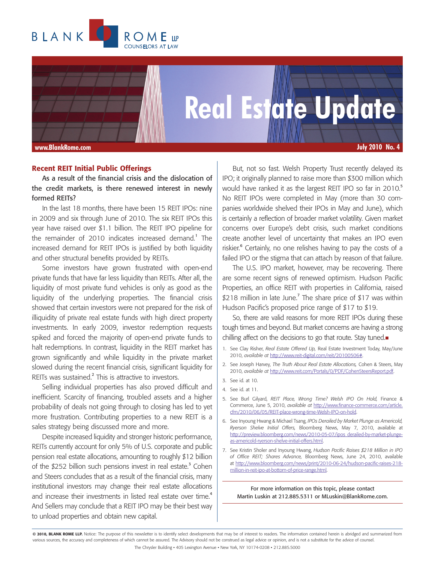



### **Recent REIT Initial Public Offerings**

As a result of the financial crisis and the dislocation of the credit markets, is there renewed interest in newly formed REITs?

In the last 18 months, there have been 15 REIT IPOs: nine in 2009 and six through June of 2010. The six REIT IPOs this year have raised over \$1.1 billion. The REIT IPO pipeline for the remainder of 2010 indicates increased demand.<sup>1</sup> The increased demand for REIT IPOs is justified by both liquidity and other structural benefits provided by REITs.

Some investors have grown frustrated with open-end private funds that have far less liquidity than REITs. After all, the liquidity of most private fund vehicles is only as good as the liquidity of the underlying properties. The financial crisis showed that certain investors were not prepared for the risk of illiquidity of private real estate funds with high direct property investments. In early 2009, investor redemption requests spiked and forced the majority of open-end private funds to halt redemptions. In contrast, liquidity in the REIT market has grown significantly and while liquidity in the private market slowed during the recent financial crisis, significant liquidity for REITs was sustained. $<sup>2</sup>$  This is attractive to investors.</sup>

Selling individual properties has also proved difficult and inefficient. Scarcity of financing, troubled assets and a higher probability of deals not going through to closing has led to yet more frustration. Contributing properties to a new REIT is a sales strategy being discussed more and more.

Despite increased liquidity and stronger historic performance, REITs currently account for only 5% of U.S. corporate and public pension real estate allocations, amounting to roughly \$12 billion of the \$252 billion such pensions invest in real estate.<sup>3</sup> Cohen and Steers concludes that as a result of the financial crisis, many institutional investors may change their real estate allocations and increase their investments in listed real estate over time.<sup>4</sup> And Sellers may conclude that a REIT IPO may be their best way to unload properties and obtain new capital.

But, not so fast. Welsh Property Trust recently delayed its IPO; it originally planned to raise more than \$300 million which would have ranked it as the largest REIT IPO so far in 2010.<sup>5</sup> No REIT IPOs were completed in May (more than 30 companies worldwide shelved their IPOs in May and June), which is certainly a reflection of broader market volatility. Given market concerns over Europe's debt crisis, such market conditions create another level of uncertainty that makes an IPO even riskier.<sup>6</sup> Certainly, no one relishes having to pay the costs of a failed IPO or the stigma that can attach by reason of that failure.

The U.S. IPO market, however, may be recovering. There are some recent signs of renewed optimism. Hudson Pacific Properties, an office REIT with properties in California, raised \$218 million in late June.<sup>7</sup> The share price of \$17 was within Hudson Pacific's proposed price range of \$17 to \$19.

So, there are valid reasons for more REIT IPOs during these tough times and beyond. But market concerns are having a strong chilling affect on the decisions to go that route. Stay tuned. $\blacksquare$ 

- 1. See Clay Risher, *Real Estate Offered Up,* Real Estate Investment Today, May/June 2010, *available at* http://www.reit-digital.com/reit/20100506#.
- 2. See Joseph Harvey, *The Truth About Real Estate Allocations,* Cohen & Steers, May 2010, *available at* http://www.reit.com/Portals/0/PDF/CohenSteersReport.pdf.

- 4. See id. at 11.
- 5. See Burl Gilyard, *REIT Place, Wrong Time? Welsh IPO On Hold,* Finance & Commerce, June 5, 2010, *available at* [http://www.finance-commerce.com/article.](http://preview.bloomberg.com/news/2010-05-07/ipos derailed-by-market-plunge-as-americold-ryerson-shelve-initial-offers.html) c[fm/2010/06/05/REIT-place-wrong-time-Welsh-IPO-on-hold.](http://preview.bloomberg.com/news/2010-05-07/ipos derailed-by-market-plunge-as-americold-ryerson-shelve-initial-offers.html)
- 6. See Inyoung Hwang & Michael Tsang, *IPOs Derailed by Market Plunge as Americold, Ryerson Shelve Initial Offers,* Bloomberg News, May 7, 2010, available at [http://preview.bloomberg.com/news/2010-05-07/ipos derailed-by-market-plunge](http://preview.bloomberg.com/news/2010-05-07/ipos derailed-by-market-plunge-as-americold-ryerson-shelve-initial-offers.html)as-americold-ryerson-shelve-initial-offers.html.
- 7. See Kristin Sholer and Inyoung Hwang, *Hudson Pacific Raises \$218 Million in IPO of Office REIT; Shares Advance,* Bloomberg News, June 24, 2010, available a[t http://www.bloomberg.com/news/print/2010-06-24/hudson-pacific-raises-218](http://www.bloomberg.com/news/print/2010-06-24/hudson-pacific-raises-218-million-in-reit-ipo-at-bottom-of-price-range.html) million-in-reit-ipo-at-bottom-of-price-range.html.

For more information on this topic, please contact Martin Luskin at 212.885.5311 or MLuskin@BlankRome.com.

© 2010, BLANK ROME LLP. Notice: The purpose of this newsletter is to identify select developments that may be of interest to readers. The information contained herein is abridged and summarized from various sources, the accuracy and completeness of which cannot be assured. The Advisory should not be construed as legal advice or opinion, and is not a substitute for the advice of counsel. The Chrysler Building • 405 Lexington Avenue • New York, NY 10174-0208 • 212.885.5000

<sup>3.</sup> See id. at 10.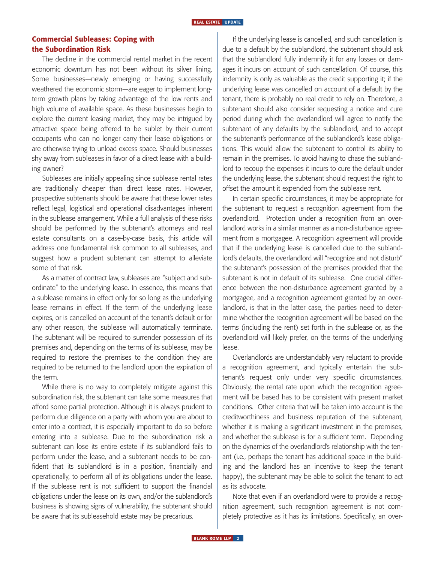# **Commercial Subleases: Coping with the Subordination Risk**

The decline in the commercial rental market in the recent economic downturn has not been without its silver lining. Some businesses—newly emerging or having successfully weathered the economic storm—are eager to implement longterm growth plans by taking advantage of the low rents and high volume of available space. As these businesses begin to explore the current leasing market, they may be intrigued by attractive space being offered to be sublet by their current occupants who can no longer carry their lease obligations or are otherwise trying to unload excess space. Should businesses shy away from subleases in favor of a direct lease with a building owner?

Subleases are initially appealing since sublease rental rates are traditionally cheaper than direct lease rates. However, prospective subtenants should be aware that these lower rates reflect legal, logistical and operational disadvantages inherent in the sublease arrangement. While a full analysis of these risks should be performed by the subtenant's attorneys and real estate consultants on a case-by-case basis, this article will address one fundamental risk common to all subleases, and suggest how a prudent subtenant can attempt to alleviate some of that risk.

As a matter of contract law, subleases are "subject and subordinate" to the underlying lease. In essence, this means that a sublease remains in effect only for so long as the underlying lease remains in effect. If the term of the underlying lease expires, or is cancelled on account of the tenant's default or for any other reason, the sublease will automatically terminate. The subtenant will be required to surrender possession of its premises and, depending on the terms of its sublease, may be required to restore the premises to the condition they are required to be returned to the landlord upon the expiration of the term.

While there is no way to completely mitigate against this subordination risk, the subtenant can take some measures that afford some partial protection. Although it is always prudent to perform due diligence on a party with whom you are about to enter into a contract, it is especially important to do so before entering into a sublease. Due to the subordination risk a subtenant can lose its entire estate if its sublandlord fails to perform under the lease, and a subtenant needs to be confident that its sublandlord is in a position, financially and operationally, to perform all of its obligations under the lease. If the sublease rent is not sufficient to support the financial obligations under the lease on its own, and/or the sublandlord's business is showing signs of vulnerability, the subtenant should be aware that its subleasehold estate may be precarious.

If the underlying lease is cancelled, and such cancellation is due to a default by the sublandlord, the subtenant should ask that the sublandlord fully indemnify it for any losses or damages it incurs on account of such cancellation. Of course, this indemnity is only as valuable as the credit supporting it; if the underlying lease was cancelled on account of a default by the tenant, there is probably no real credit to rely on. Therefore, a subtenant should also consider requesting a notice and cure period during which the overlandlord will agree to notify the subtenant of any defaults by the sublandlord, and to accept the subtenant's performance of the sublandlord's lease obligations. This would allow the subtenant to control its ability to remain in the premises. To avoid having to chase the sublandlord to recoup the expenses it incurs to cure the default under the underlying lease, the subtenant should request the right to offset the amount it expended from the sublease rent.

In certain specific circumstances, it may be appropriate for the subtenant to request a recognition agreement from the overlandlord. Protection under a recognition from an overlandlord works in a similar manner as a non-disturbance agreement from a mortgagee. A recognition agreement will provide that if the underlying lease is cancelled due to the sublandlord's defaults, the overlandlord will "recognize and not disturb" the subtenant's possession of the premises provided that the subtenant is not in default of its sublease. One crucial difference between the non-disturbance agreement granted by a mortgagee, and a recognition agreement granted by an overlandlord, is that in the latter case, the parties need to determine whether the recognition agreement will be based on the terms (including the rent) set forth in the sublease or, as the overlandlord will likely prefer, on the terms of the underlying lease.

Overlandlords are understandably very reluctant to provide a recognition agreement, and typically entertain the subtenant's request only under very specific circumstances. Obviously, the rental rate upon which the recognition agreement will be based has to be consistent with present market conditions. Other criteria that will be taken into account is the creditworthiness and business reputation of the subtenant, whether it is making a significant investment in the premises, and whether the sublease is for a sufficient term. Depending on the dynamics of the overlandlord's relationship with the tenant (i.e., perhaps the tenant has additional space in the building and the landlord has an incentive to keep the tenant happy), the subtenant may be able to solicit the tenant to act as its advocate.

Note that even if an overlandlord were to provide a recognition agreement, such recognition agreement is not completely protective as it has its limitations. Specifically, an over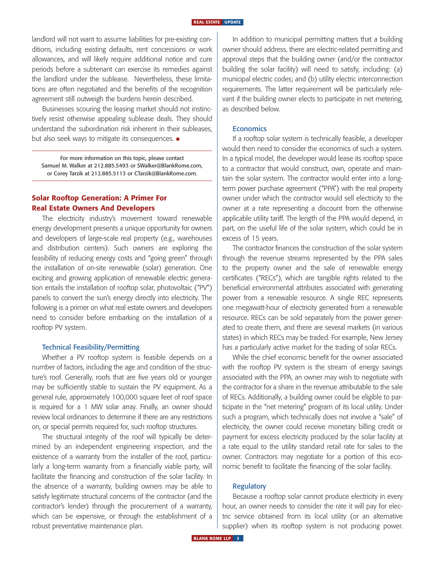landlord will not want to assume liabilities for pre-existing conditions, including existing defaults, rent concessions or work allowances, and will likely require additional notice and cure periods before a subtenant can exercise its remedies against the landlord under the sublease. Nevertheless, these limitations are often negotiated and the benefits of the recognition agreement still outweigh the burdens herein described.

Businesses scouring the leasing market should not instinctively resist otherwise appealing sublease deals. They should understand the subordination risk inherent in their subleases, but also seek ways to mitigate its consequences.  $\blacksquare$ 

For more information on this topic, please contact Samuel M. Walker at 212.885.5493 or SWalker@BlankRome.com, or Corey Tarzik at 212.885.5113 or CTarzik@BlankRome.com.

# **Solar Rooftop Generation: A Primer For Real Estate Owners And Developers**

The electricity industry's movement toward renewable energy development presents a unique opportunity for owners and developers of large-scale real property (e.g., warehouses and distribution centers). Such owners are exploring the feasibility of reducing energy costs and "going green" through the installation of on-site renewable (solar) generation. One exciting and growing application of renewable electric generation entails the installation of rooftop solar, photovoltaic ("PV") panels to convert the sun's energy directly into electricity. The following is a primer on what real estate owners and developers need to consider before embarking on the installation of a rooftop PV system.

### Technical Feasibility/Permitting

Whether a PV rooftop system is feasible depends on a number of factors, including the age and condition of the structure's roof. Generally, roofs that are five years old or younger may be sufficiently stable to sustain the PV equipment. As a general rule, approximately 100,000 square feet of roof space is required for a 1 MW solar array. Finally, an owner should review local ordinances to determine if there are any restrictions on, or special permits required for, such rooftop structures.

The structural integrity of the roof will typically be determined by an independent engineering inspection, and the existence of a warranty from the installer of the roof, particularly a long-term warranty from a financially viable party, will facilitate the financing and construction of the solar facility. In the absence of a warranty, building owners may be able to satisfy legitimate structural concerns of the contractor (and the contractor's lender) through the procurement of a warranty, which can be expensive, or through the establishment of a robust preventative maintenance plan.

In addition to municipal permitting matters that a building owner should address, there are electric-related permitting and approval steps that the building owner (and/or the contractor building the solar facility) will need to satisfy, including: (a) municipal electric codes; and (b) utility electric interconnection requirements. The latter requirement will be particularly relevant if the building owner elects to participate in net metering, as described below.

## **Economics**

If a rooftop solar system is technically feasible, a developer would then need to consider the economics of such a system. In a typical model, the developer would lease its rooftop space to a contractor that would construct, own, operate and maintain the solar system. The contractor would enter into a longterm power purchase agreement ("PPA") with the real property owner under which the contractor would sell electricity to the owner at a rate representing a discount from the otherwise applicable utility tariff. The length of the PPA would depend, in part, on the useful life of the solar system, which could be in excess of 15 years.

The contractor finances the construction of the solar system through the revenue streams represented by the PPA sales to the property owner and the sale of renewable energy certificates ("RECs"), which are tangible rights related to the beneficial environmental attributes associated with generating power from a renewable resource. A single REC represents one megawatt-hour of electricity generated from a renewable resource. RECs can be sold separately from the power generated to create them, and there are several markets (in various states) in which RECs may be traded. For example, New Jersey has a particularly active market for the trading of solar RECs.

While the chief economic benefit for the owner associated with the rooftop PV system is the stream of energy savings associated with the PPA, an owner may wish to negotiate with the contractor for a share in the revenue attributable to the sale of RECs. Additionally, a building owner could be eligible to participate in the "net metering" program of its local utility. Under such a program, which technically does not involve a "sale" of electricity, the owner could receive monetary billing credit or payment for excess electricity produced by the solar facility at a rate equal to the utility standard retail rate for sales to the owner. Contractors may negotiate for a portion of this economic benefit to facilitate the financing of the solar facility.

#### **Regulatory**

Because a rooftop solar cannot produce electricity in every hour, an owner needs to consider the rate it will pay for electric service obtained from its local utility (or an alternative supplier) when its rooftop system is not producing power.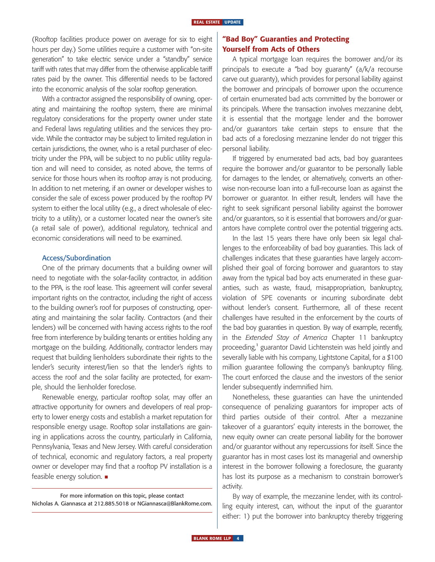(Rooftop facilities produce power on average for six to eight hours per day.) Some utilities require a customer with "on-site generation" to take electric service under a "standby" service tariff with rates that may differ from the otherwise applicable tariff rates paid by the owner. This differential needs to be factored into the economic analysis of the solar rooftop generation.

With a contractor assigned the responsibility of owning, operating and maintaining the rooftop system, there are minimal regulatory considerations for the property owner under state and Federal laws regulating utilities and the services they provide. While the contractor may be subject to limited regulation in certain jurisdictions, the owner, who is a retail purchaser of electricity under the PPA, will be subject to no public utility regulation and will need to consider, as noted above, the terms of service for those hours when its rooftop array is not producing. In addition to net metering, if an owner or developer wishes to consider the sale of excess power produced by the rooftop PV system to either the local utility (e.g., a direct wholesale of electricity to a utility), or a customer located near the owner's site (a retail sale of power), additional regulatory, technical and economic considerations will need to be examined.

## Access/Subordination

One of the primary documents that a building owner will need to negotiate with the solar-facility contractor, in addition to the PPA, is the roof lease. This agreement will confer several important rights on the contractor, including the right of access to the building owner's roof for purposes of constructing, operating and maintaining the solar facility. Contractors (and their lenders) will be concerned with having access rights to the roof free from interference by building tenants or entities holding any mortgage on the building. Additionally, contractor lenders may request that building lienholders subordinate their rights to the lender's security interest/lien so that the lender's rights to access the roof and the solar facility are protected, for example, should the lienholder foreclose.

Renewable energy, particular rooftop solar, may offer an attractive opportunity for owners and developers of real property to lower energy costs and establish a market reputation for responsible energy usage. Rooftop solar installations are gaining in applications across the country, particularly in California, Pennsylvania, Texas and New Jersey. With careful consideration of technical, economic and regulatory factors, a real property owner or developer may find that a rooftop PV installation is a feasible energy solution.  $\blacksquare$ 

For more information on this topic, please contact Nicholas A. Giannasca at 212.885.5018 or NGiannasca@BlankRome.com.

# **"Bad Boy" Guaranties and Protecting Yourself from Acts of Others**

A typical mortgage loan requires the borrower and/or its principals to execute a "bad boy guaranty" (a/k/a recourse carve out guaranty), which provides for personal liability against the borrower and principals of borrower upon the occurrence of certain enumerated bad acts committed by the borrower or its principals. Where the transaction involves mezzanine debt, it is essential that the mortgage lender and the borrower and/or guarantors take certain steps to ensure that the bad acts of a foreclosing mezzanine lender do not trigger this personal liability.

If triggered by enumerated bad acts, bad boy guarantees require the borrower and/or guarantor to be personally liable for damages to the lender, or alternatively, converts an otherwise non-recourse loan into a full-recourse loan as against the borrower or guarantor. In either result, lenders will have the right to seek significant personal liability against the borrower and/or guarantors, so it is essential that borrowers and/or guarantors have complete control over the potential triggering acts.

In the last 15 years there have only been six legal challenges to the enforceability of bad boy guaranties. This lack of challenges indicates that these guaranties have largely accomplished their goal of forcing borrower and guarantors to stay away from the typical bad boy acts enumerated in these guaranties, such as waste, fraud, misappropriation, bankruptcy, violation of SPE covenants or incurring subordinate debt without lender's consent. Furthermore, all of these recent challenges have resulted in the enforcement by the courts of the bad boy guaranties in question. By way of example, recently, in the *Extended Stay of America* Chapter 11 bankruptcy proceeding,<sup>1</sup> guarantor David Lichtenstein was held jointly and severally liable with his company, Lightstone Capital, for a \$100 million guarantee following the company's bankruptcy filing. The court enforced the clause and the investors of the senior lender subsequently indemnified him.

Nonetheless, these guaranties can have the unintended consequence of penalizing guarantors for improper acts of third parties outside of their control. After a mezzanine takeover of a guarantors' equity interests in the borrower, the new equity owner can create personal liability for the borrower and/or guarantor without any repercussions for itself. Since the guarantor has in most cases lost its managerial and ownership interest in the borrower following a foreclosure, the guaranty has lost its purpose as a mechanism to constrain borrower's activity.

By way of example, the mezzanine lender, with its controlling equity interest, can, without the input of the guarantor either: 1) put the borrower into bankruptcy thereby triggering